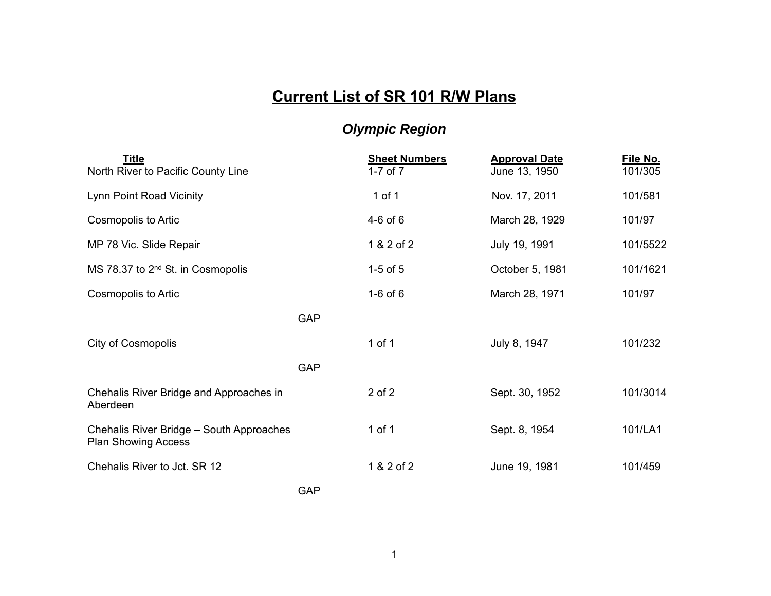## **Current List of SR 101 R/W Plans**

## *Olympic Region*

| <b>Title</b><br>North River to Pacific County Line                     |            | <b>Sheet Numbers</b><br>$1-7$ of $7$ | <b>Approval Date</b><br>June 13, 1950 | File No.<br>101/305 |
|------------------------------------------------------------------------|------------|--------------------------------------|---------------------------------------|---------------------|
| Lynn Point Road Vicinity                                               |            | 1 of 1                               | Nov. 17, 2011                         | 101/581             |
| Cosmopolis to Artic                                                    |            | $4-6$ of $6$                         | March 28, 1929                        | 101/97              |
| MP 78 Vic. Slide Repair                                                |            | 1 & 2 of 2                           | July 19, 1991                         | 101/5522            |
| MS 78.37 to 2 <sup>nd</sup> St. in Cosmopolis                          |            | $1-5$ of $5$                         | October 5, 1981                       | 101/1621            |
| Cosmopolis to Artic                                                    |            | $1-6$ of $6$                         | March 28, 1971                        | 101/97              |
|                                                                        | <b>GAP</b> |                                      |                                       |                     |
| City of Cosmopolis                                                     |            | 1 of 1                               | July 8, 1947                          | 101/232             |
|                                                                        | <b>GAP</b> |                                      |                                       |                     |
| Chehalis River Bridge and Approaches in<br>Aberdeen                    |            | $2$ of $2$                           | Sept. 30, 1952                        | 101/3014            |
| Chehalis River Bridge - South Approaches<br><b>Plan Showing Access</b> |            | 1 of 1                               | Sept. 8, 1954                         | 101/LA1             |
| Chehalis River to Jct. SR 12                                           |            | 1 & 2 of 2                           | June 19, 1981                         | 101/459             |

GAP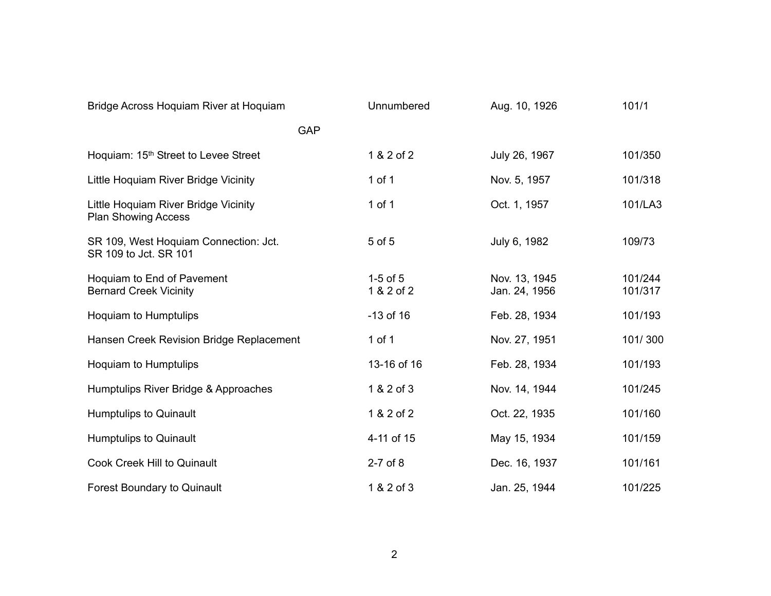| Bridge Across Hoquiam River at Hoquiam                             | Unnumbered                 | Aug. 10, 1926                  | 101/1              |
|--------------------------------------------------------------------|----------------------------|--------------------------------|--------------------|
| <b>GAP</b>                                                         |                            |                                |                    |
| Hoquiam: 15 <sup>th</sup> Street to Levee Street                   | 1 & 2 of 2                 | July 26, 1967                  | 101/350            |
| Little Hoquiam River Bridge Vicinity                               | $1$ of $1$                 | Nov. 5, 1957                   | 101/318            |
| Little Hoquiam River Bridge Vicinity<br><b>Plan Showing Access</b> | $1$ of $1$                 | Oct. 1, 1957                   | 101/LA3            |
| SR 109, West Hoquiam Connection: Jct.<br>SR 109 to Jct. SR 101     | 5 of 5                     | July 6, 1982                   | 109/73             |
| Hoquiam to End of Pavement<br><b>Bernard Creek Vicinity</b>        | $1-5$ of $5$<br>1 & 2 of 2 | Nov. 13, 1945<br>Jan. 24, 1956 | 101/244<br>101/317 |
| <b>Hoquiam to Humptulips</b>                                       | $-13$ of 16                | Feb. 28, 1934                  | 101/193            |
| Hansen Creek Revision Bridge Replacement                           | 1 of $1$                   | Nov. 27, 1951                  | 101/300            |
| <b>Hoquiam to Humptulips</b>                                       | 13-16 of 16                | Feb. 28, 1934                  | 101/193            |
| Humptulips River Bridge & Approaches                               | 1 & 2 of 3                 | Nov. 14, 1944                  | 101/245            |
| Humptulips to Quinault                                             | 1 & 2 of 2                 | Oct. 22, 1935                  | 101/160            |
| <b>Humptulips to Quinault</b>                                      | 4-11 of 15                 | May 15, 1934                   | 101/159            |
| <b>Cook Creek Hill to Quinault</b>                                 | $2-7$ of $8$               | Dec. 16, 1937                  | 101/161            |
| <b>Forest Boundary to Quinault</b>                                 | 1 & 2 of 3                 | Jan. 25, 1944                  | 101/225            |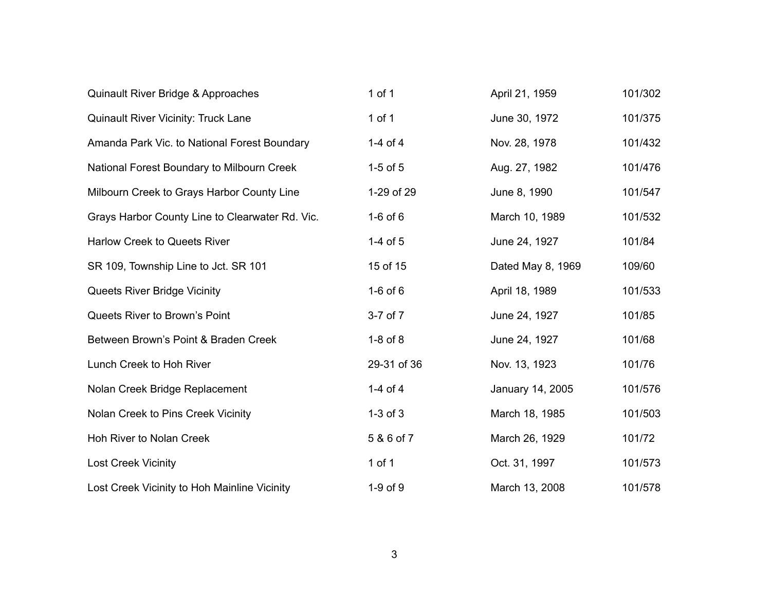| Quinault River Bridge & Approaches              | 1 of 1       | April 21, 1959    | 101/302 |
|-------------------------------------------------|--------------|-------------------|---------|
| <b>Quinault River Vicinity: Truck Lane</b>      | $1$ of $1$   | June 30, 1972     | 101/375 |
| Amanda Park Vic. to National Forest Boundary    | 1-4 of 4     | Nov. 28, 1978     | 101/432 |
| National Forest Boundary to Milbourn Creek      | $1-5$ of $5$ | Aug. 27, 1982     | 101/476 |
| Milbourn Creek to Grays Harbor County Line      | 1-29 of 29   | June 8, 1990      | 101/547 |
| Grays Harbor County Line to Clearwater Rd. Vic. | $1-6$ of $6$ | March 10, 1989    | 101/532 |
| Harlow Creek to Queets River                    | 1-4 of 5     | June 24, 1927     | 101/84  |
| SR 109, Township Line to Jct. SR 101            | 15 of 15     | Dated May 8, 1969 | 109/60  |
| <b>Queets River Bridge Vicinity</b>             | $1-6$ of $6$ | April 18, 1989    | 101/533 |
| Queets River to Brown's Point                   | 3-7 of 7     | June 24, 1927     | 101/85  |
| Between Brown's Point & Braden Creek            | $1-8$ of $8$ | June 24, 1927     | 101/68  |
| Lunch Creek to Hoh River                        | 29-31 of 36  | Nov. 13, 1923     | 101/76  |
| Nolan Creek Bridge Replacement                  | 1-4 of $4$   | January 14, 2005  | 101/576 |
| Nolan Creek to Pins Creek Vicinity              | $1-3$ of $3$ | March 18, 1985    | 101/503 |
| Hoh River to Nolan Creek                        | 5 & 6 of 7   | March 26, 1929    | 101/72  |
| <b>Lost Creek Vicinity</b>                      | $1$ of $1$   | Oct. 31, 1997     | 101/573 |
| Lost Creek Vicinity to Hoh Mainline Vicinity    | 1-9 of 9     | March 13, 2008    | 101/578 |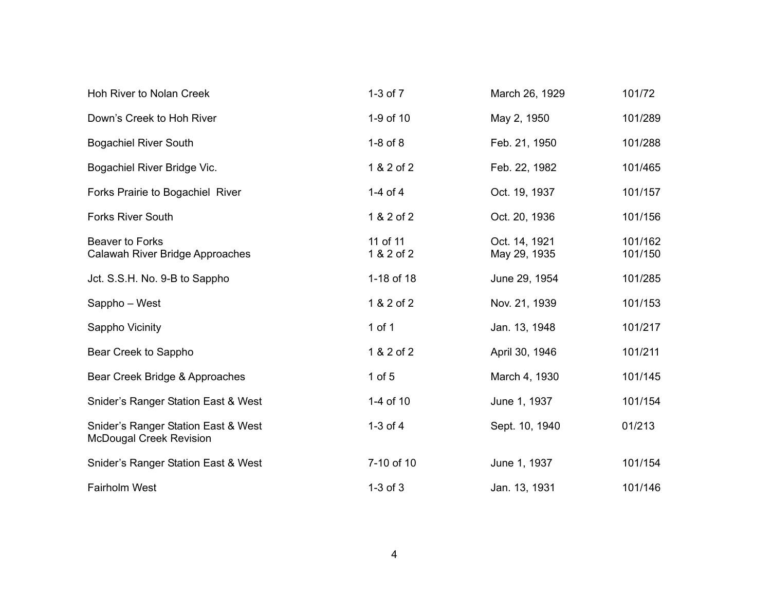| Hoh River to Nolan Creek                                              | $1-3$ of $7$           | March 26, 1929                | 101/72             |
|-----------------------------------------------------------------------|------------------------|-------------------------------|--------------------|
| Down's Creek to Hoh River                                             | 1-9 of 10              | May 2, 1950                   | 101/289            |
| <b>Bogachiel River South</b>                                          | $1-8$ of $8$           | Feb. 21, 1950                 | 101/288            |
| Bogachiel River Bridge Vic.                                           | 1 & 2 of 2             | Feb. 22, 1982                 | 101/465            |
| Forks Prairie to Bogachiel River                                      | 1-4 of 4               | Oct. 19, 1937                 | 101/157            |
| <b>Forks River South</b>                                              | 1 & 2 of 2             | Oct. 20, 1936                 | 101/156            |
| Beaver to Forks<br>Calawah River Bridge Approaches                    | 11 of 11<br>1 & 2 of 2 | Oct. 14, 1921<br>May 29, 1935 | 101/162<br>101/150 |
| Jct. S.S.H. No. 9-B to Sappho                                         | 1-18 of 18             | June 29, 1954                 | 101/285            |
| Sappho - West                                                         | 1 & 2 of 2             | Nov. 21, 1939                 | 101/153            |
| Sappho Vicinity                                                       | 1 of $1$               | Jan. 13, 1948                 | 101/217            |
| Bear Creek to Sappho                                                  | 1 & 2 of 2             | April 30, 1946                | 101/211            |
| Bear Creek Bridge & Approaches                                        | $1$ of $5$             | March 4, 1930                 | 101/145            |
| Snider's Ranger Station East & West                                   | 1-4 of 10              | June 1, 1937                  | 101/154            |
| Snider's Ranger Station East & West<br><b>McDougal Creek Revision</b> | $1-3$ of $4$           | Sept. 10, 1940                | 01/213             |
| Snider's Ranger Station East & West                                   | 7-10 of 10             | June 1, 1937                  | 101/154            |
| <b>Fairholm West</b>                                                  | $1-3$ of $3$           | Jan. 13, 1931                 | 101/146            |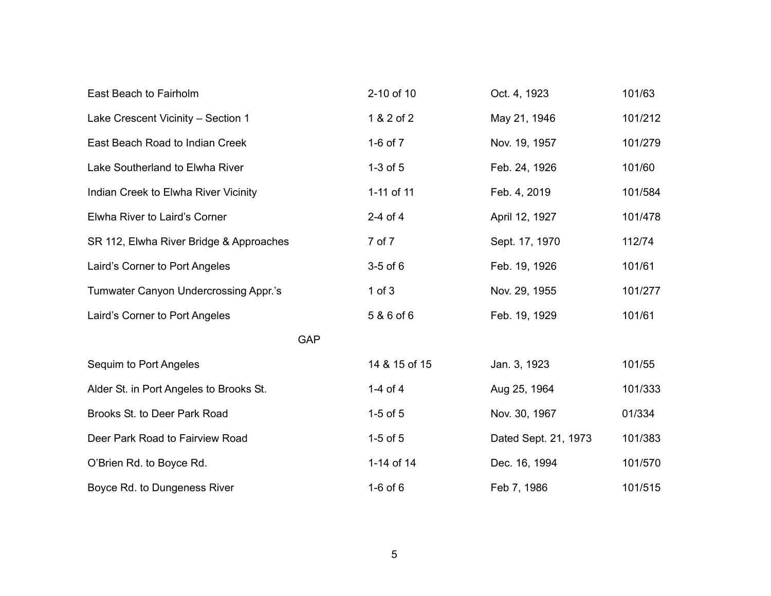| East Beach to Fairholm                  | 2-10 of 10    | Oct. 4, 1923         | 101/63  |
|-----------------------------------------|---------------|----------------------|---------|
| Lake Crescent Vicinity - Section 1      | 1 & 2 of 2    | May 21, 1946         | 101/212 |
| East Beach Road to Indian Creek         | 1-6 of 7      | Nov. 19, 1957        | 101/279 |
| Lake Southerland to Elwha River         | $1-3$ of $5$  | Feb. 24, 1926        | 101/60  |
| Indian Creek to Elwha River Vicinity    | 1-11 of 11    | Feb. 4, 2019         | 101/584 |
| Elwha River to Laird's Corner           | $2-4$ of $4$  | April 12, 1927       | 101/478 |
| SR 112, Elwha River Bridge & Approaches | 7 of 7        | Sept. 17, 1970       | 112/74  |
| Laird's Corner to Port Angeles          | $3-5$ of $6$  | Feb. 19, 1926        | 101/61  |
| Tumwater Canyon Undercrossing Appr.'s   | $1$ of $3$    | Nov. 29, 1955        | 101/277 |
| Laird's Corner to Port Angeles          | 5 & 6 of 6    | Feb. 19, 1929        | 101/61  |
| <b>GAP</b>                              |               |                      |         |
| Sequim to Port Angeles                  | 14 & 15 of 15 | Jan. 3, 1923         | 101/55  |
| Alder St. in Port Angeles to Brooks St. | 1-4 of 4      | Aug 25, 1964         | 101/333 |
| Brooks St. to Deer Park Road            | $1-5$ of $5$  | Nov. 30, 1967        | 01/334  |
| Deer Park Road to Fairview Road         | $1-5$ of $5$  | Dated Sept. 21, 1973 | 101/383 |
| O'Brien Rd. to Boyce Rd.                | 1-14 of 14    | Dec. 16, 1994        | 101/570 |
| Boyce Rd. to Dungeness River            | $1-6$ of $6$  | Feb 7, 1986          | 101/515 |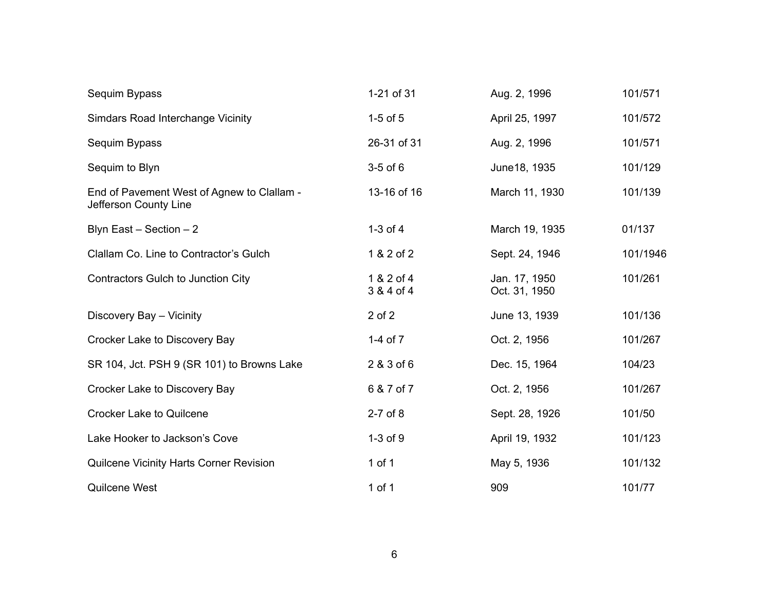| Sequim Bypass                                                       | 1-21 of 31               | Aug. 2, 1996                   | 101/571  |
|---------------------------------------------------------------------|--------------------------|--------------------------------|----------|
| <b>Simdars Road Interchange Vicinity</b>                            | $1-5$ of $5$             | April 25, 1997                 | 101/572  |
| Sequim Bypass                                                       | 26-31 of 31              | Aug. 2, 1996                   | 101/571  |
| Sequim to Blyn                                                      | $3-5$ of $6$             | June 18, 1935                  | 101/129  |
| End of Pavement West of Agnew to Clallam -<br>Jefferson County Line | 13-16 of 16              | March 11, 1930                 | 101/139  |
| Blyn East $-$ Section $-2$                                          | $1-3$ of $4$             | March 19, 1935                 | 01/137   |
| Clallam Co. Line to Contractor's Gulch                              | 1 & 2 of 2               | Sept. 24, 1946                 | 101/1946 |
| Contractors Gulch to Junction City                                  | 1 & 2 of 4<br>3 & 4 of 4 | Jan. 17, 1950<br>Oct. 31, 1950 | 101/261  |
| Discovery Bay - Vicinity                                            | $2$ of $2$               | June 13, 1939                  | 101/136  |
| Crocker Lake to Discovery Bay                                       | 1-4 of $7$               | Oct. 2, 1956                   | 101/267  |
| SR 104, Jct. PSH 9 (SR 101) to Browns Lake                          | 2 & 3 of 6               | Dec. 15, 1964                  | 104/23   |
| Crocker Lake to Discovery Bay                                       | 6 & 7 of 7               | Oct. 2, 1956                   | 101/267  |
| <b>Crocker Lake to Quilcene</b>                                     | 2-7 of 8                 | Sept. 28, 1926                 | 101/50   |
| Lake Hooker to Jackson's Cove                                       | $1-3$ of $9$             | April 19, 1932                 | 101/123  |
| <b>Quilcene Vicinity Harts Corner Revision</b>                      | $1$ of $1$               | May 5, 1936                    | 101/132  |
| Quilcene West                                                       | 1 of 1                   | 909                            | 101/77   |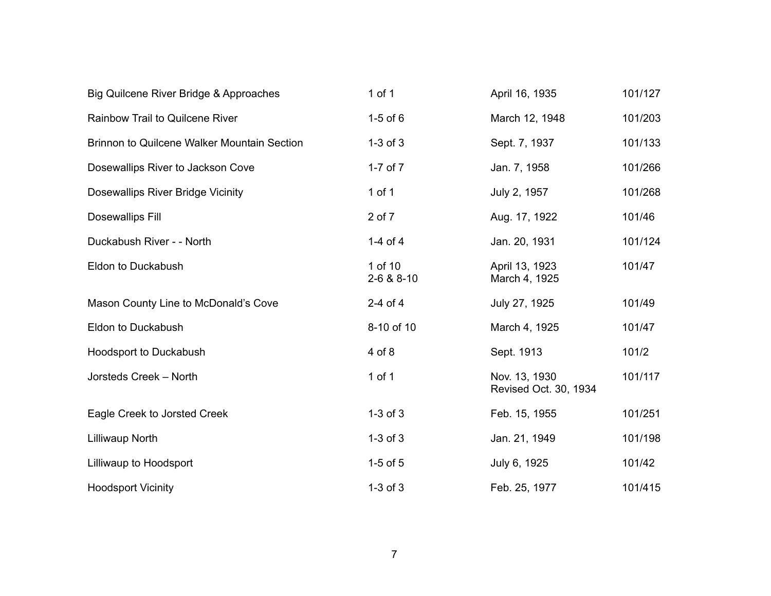| Big Quilcene River Bridge & Approaches             | 1 of $1$              | April 16, 1935                         | 101/127 |
|----------------------------------------------------|-----------------------|----------------------------------------|---------|
| <b>Rainbow Trail to Quilcene River</b>             | $1-5$ of $6$          | March 12, 1948                         | 101/203 |
| <b>Brinnon to Quilcene Walker Mountain Section</b> | $1-3$ of $3$          | Sept. 7, 1937                          | 101/133 |
| Dosewallips River to Jackson Cove                  | 1-7 of $7$            | Jan. 7, 1958                           | 101/266 |
| Dosewallips River Bridge Vicinity                  | 1 of 1                | July 2, 1957                           | 101/268 |
| <b>Dosewallips Fill</b>                            | 2 of 7                | Aug. 17, 1922                          | 101/46  |
| Duckabush River - - North                          | 1-4 of 4              | Jan. 20, 1931                          | 101/124 |
| Eldon to Duckabush                                 | 1 of 10<br>2-6 & 8-10 | April 13, 1923<br>March 4, 1925        | 101/47  |
| Mason County Line to McDonald's Cove               | $2-4$ of $4$          | July 27, 1925                          | 101/49  |
| Eldon to Duckabush                                 | 8-10 of 10            | March 4, 1925                          | 101/47  |
| Hoodsport to Duckabush                             | 4 of 8                | Sept. 1913                             | 101/2   |
| Jorsteds Creek - North                             | 1 of $1$              | Nov. 13, 1930<br>Revised Oct. 30, 1934 | 101/117 |
| Eagle Creek to Jorsted Creek                       | $1-3$ of $3$          | Feb. 15, 1955                          | 101/251 |
| <b>Lilliwaup North</b>                             | $1-3$ of $3$          | Jan. 21, 1949                          | 101/198 |
| Lilliwaup to Hoodsport                             | $1-5$ of $5$          | July 6, 1925                           | 101/42  |
| <b>Hoodsport Vicinity</b>                          | $1-3$ of $3$          | Feb. 25, 1977                          | 101/415 |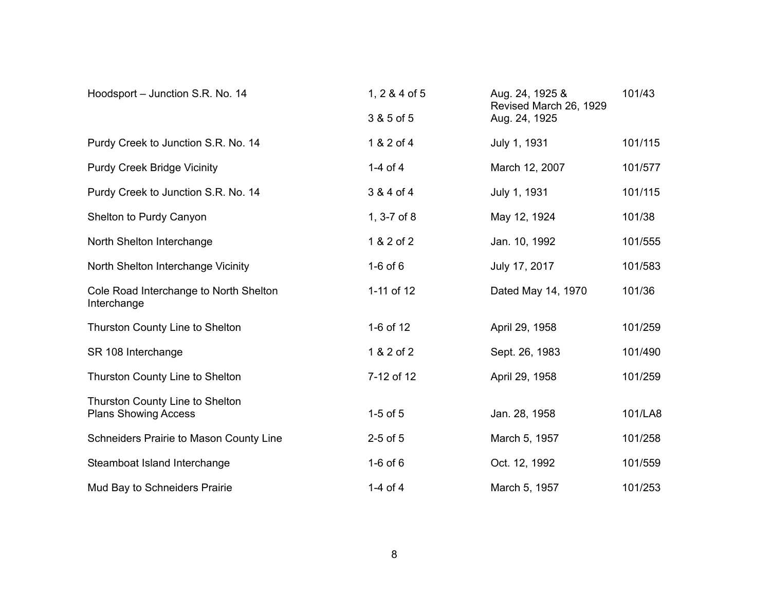| Hoodsport - Junction S.R. No. 14                               | 1, $2 & 4$ of 5 | Aug. 24, 1925 &<br>Revised March 26, 1929 | 101/43  |
|----------------------------------------------------------------|-----------------|-------------------------------------------|---------|
|                                                                | 3 & 5 of 5      | Aug. 24, 1925                             |         |
| Purdy Creek to Junction S.R. No. 14                            | 1 & 2 of 4      | July 1, 1931                              | 101/115 |
| <b>Purdy Creek Bridge Vicinity</b>                             | 1-4 of 4        | March 12, 2007                            | 101/577 |
| Purdy Creek to Junction S.R. No. 14                            | 3 & 4 of 4      | July 1, 1931                              | 101/115 |
| Shelton to Purdy Canyon                                        | 1, 3-7 of 8     | May 12, 1924                              | 101/38  |
| North Shelton Interchange                                      | 1 & 2 of 2      | Jan. 10, 1992                             | 101/555 |
| North Shelton Interchange Vicinity                             | $1-6$ of $6$    | July 17, 2017                             | 101/583 |
| Cole Road Interchange to North Shelton<br>Interchange          | 1-11 of 12      | Dated May 14, 1970                        | 101/36  |
| <b>Thurston County Line to Shelton</b>                         | 1-6 of 12       | April 29, 1958                            | 101/259 |
| SR 108 Interchange                                             | 1 & 2 of 2      | Sept. 26, 1983                            | 101/490 |
| <b>Thurston County Line to Shelton</b>                         | 7-12 of 12      | April 29, 1958                            | 101/259 |
| Thurston County Line to Shelton<br><b>Plans Showing Access</b> | $1-5$ of $5$    | Jan. 28, 1958                             | 101/LA8 |
| <b>Schneiders Prairie to Mason County Line</b>                 | $2-5$ of $5$    | March 5, 1957                             | 101/258 |
| Steamboat Island Interchange                                   | $1-6$ of $6$    | Oct. 12, 1992                             | 101/559 |
| Mud Bay to Schneiders Prairie                                  | 1-4 of 4        | March 5, 1957                             | 101/253 |